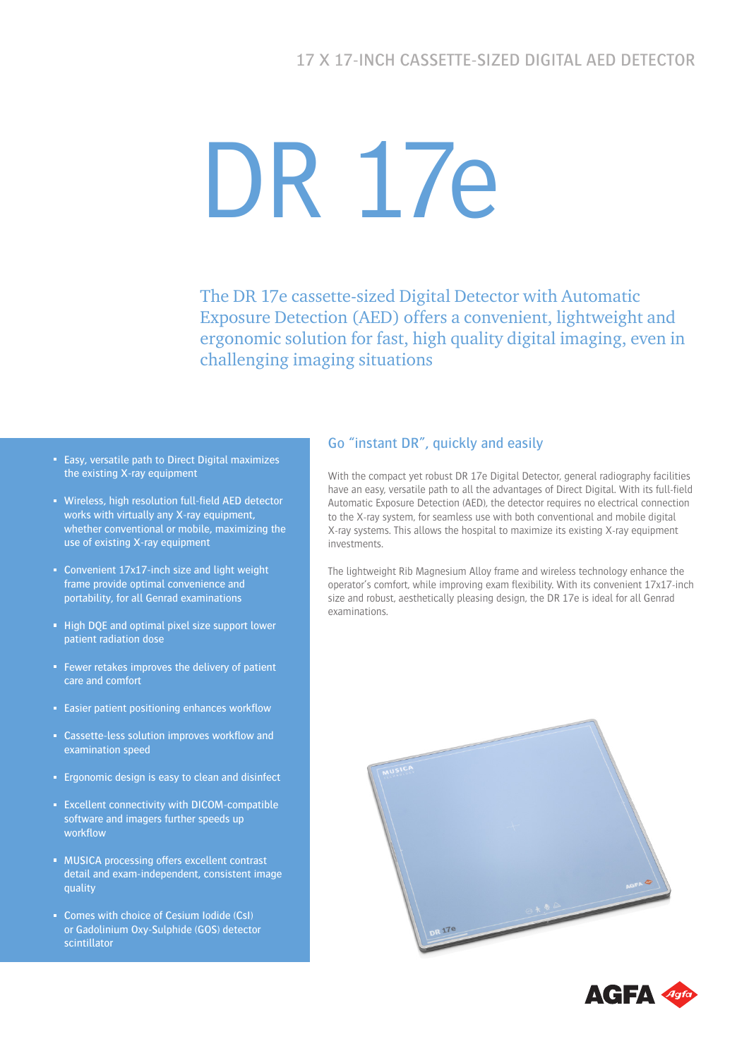# DR 17e

The DR 17e cassette-sized Digital Detector with Automatic Exposure Detection (AED) offers a convenient, lightweight and ergonomic solution for fast, high quality digital imaging, even in challenging imaging situations

- Easy, versatile path to Direct Digital maximizes the existing X-ray equipment
- Wireless, high resolution full-field AED detector works with virtually any X-ray equipment, whether conventional or mobile, maximizing the use of existing X-ray equipment
- Convenient  $17x17$ -inch size and light weight frame provide optimal convenience and portability, for all Genrad examinations
- High DQE and optimal pixel size support lower patient radiation dose
- Fewer retakes improves the delivery of patient care and comfort
- **Easier patient positioning enhances workflow**
- Cassette-less solution improves workflow and examination speed
- **Example 2** Ergonomic design is easy to clean and disinfect
- **Excellent connectivity with DICOM-compatible** software and imagers further speeds up workflow
- **MUSICA processing offers excellent contrast** detail and exam-independent, consistent image quality
- Comes with choice of Cesium Iodide (CsI) or Gadolinium Oxy-Sulphide (GOS) detector scintillator

### Go "instant DR", quickly and easily

With the compact yet robust DR 17e Digital Detector, general radiography facilities have an easy, versatile path to all the advantages of Direct Digital. With its full-field Automatic Exposure Detection (AED), the detector requires no electrical connection to the X-ray system, for seamless use with both conventional and mobile digital X-ray systems. This allows the hospital to maximize its existing X-ray equipment investments.

The lightweight Rib Magnesium Alloy frame and wireless technology enhance the operator's comfort, while improving exam flexibility. With its convenient 17x17-inch size and robust, aesthetically pleasing design, the DR 17e is ideal for all Genrad examinations.



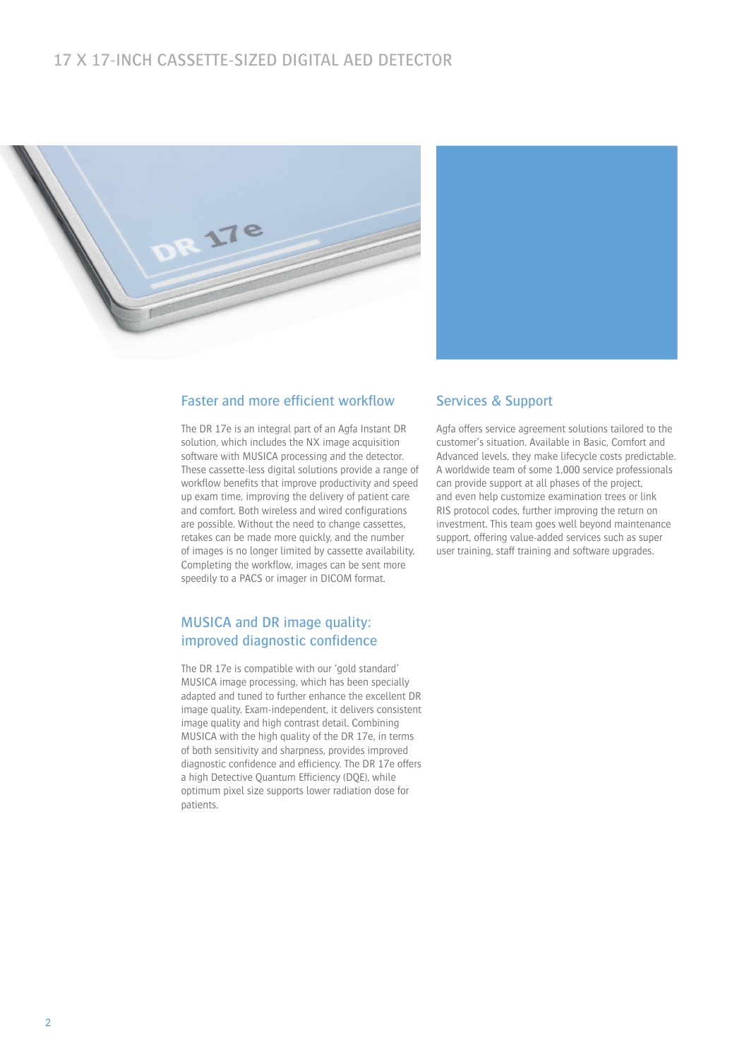# 17 X 17-INCH CASSETTE-SIZED DIGITAL AED DETECTOR





#### Faster and more efficient workflow

The DR 17e is an integral part of an Agfa Instant DR solution, which includes the NX image acquisition software with MUSICA processing and the detector. These cassette-less digital solutions provide a range of workflow benefits that improve productivity and speed up exam time, improving the delivery of patient care and comfort. Both wireless and wired configurations are possible. Without the need to change cassettes, retakes can be made more quickly, and the number of images is no longer limited by cassette availability. Completing the workflow, images can be sent more speedily to a PACS or imager in DICOM format.

#### MUSICA and DR image quality: improved diagnostic confidence

The DR 17e is compatible with our 'gold standard' MUSICA image processing, which has been specially adapted and tuned to further enhance the excellent DR image quality. Exam-independent, it delivers consistent image quality and high contrast detail. Combining MUSICA with the high quality of the DR 17e, in terms of both sensitivity and sharpness, provides improved diagnostic confidence and efficiency. The DR 17e offers a high Detective Quantum Efficiency (DQE), while optimum pixel size supports lower radiation dose for patients.

#### Services & Support

Agfa offers service agreement solutions tailored to the customer's situation. Available in Basic, Comfort and Advanced levels, they make lifecycle costs predictable. A worldwide team of some 1,000 service professionals can provide support at all phases of the project, and even help customize examination trees or link RIS protocol codes, further improving the return on investment. This team goes well beyond maintenance support, offering value-added services such as super user training, staff training and software upgrades.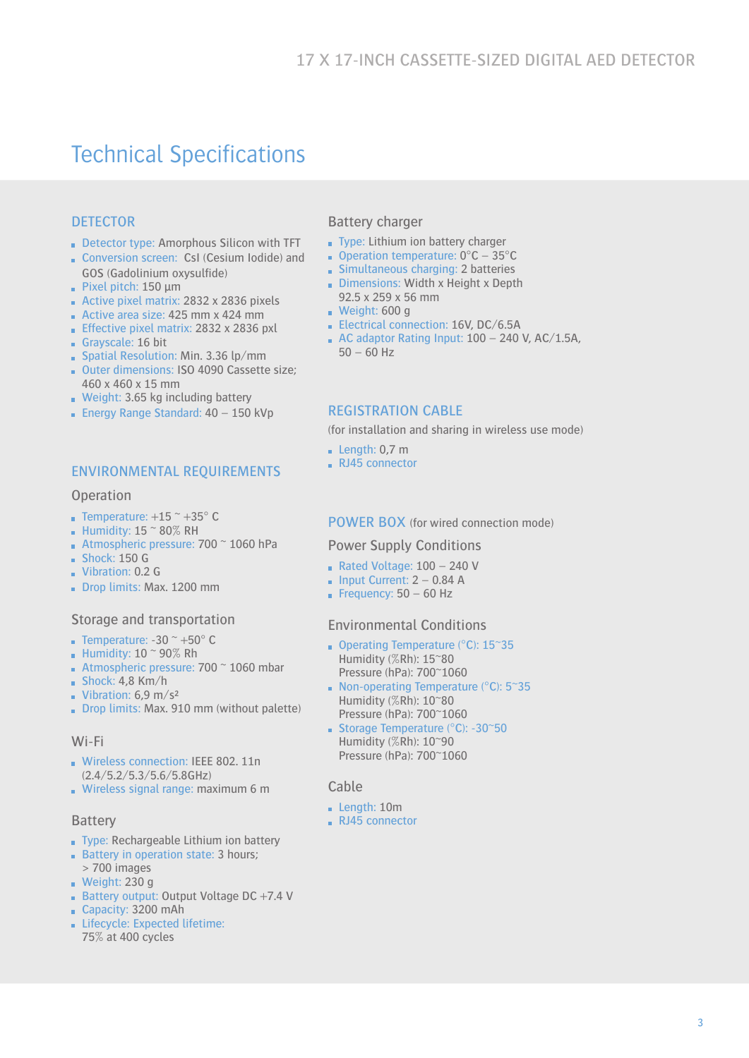# Technical Specifications

## **DETECTOR**

- Detector type: Amorphous Silicon with TFT
- Conversion screen: CsI (Cesium Iodide) and GOS (Gadolinium oxysulfide)
- Pixel pitch: 150 μm
- Active pixel matrix: 2832 x 2836 pixels
- Active area size:  $425$  mm x  $424$  mm
- **Effective pixel matrix: 2832 x 2836 pxl**
- Grayscale: 16 bit
- Spatial Resolution: Min. 3.36 lp/mm
- Outer dimensions: ISO 4090 Cassette size; 460 x 460 x 15 mm
- Weight: 3.65 kg including battery
- **Energy Range Standard: 40 150 kVp**

#### ENVIRONMENTAL REQUIREMENTS

#### **Operation**

- **Temperature:**  $+15$   $\degree$   $+35$  $\degree$  C
- **Humidity: 15**  $\approx$  **80% RH**
- Atmospheric pressure:  $700 \degree 1060$  hPa
- **Shock: 150 G**
- Vibration: 0.2 G
- Drop limits: Max. 1200 mm

#### Storage and transportation

- **Temperature: -30**  $\degree$  **+50** $\degree$  **C**
- Humidity:  $10 <sup>0</sup> 90%$  Rh
- **Atmospheric pressure: 700**  $\degree$  **1060 mbar**
- $Shock: 4,8$  Km/h
- Vibration:  $6.9 \text{ m/s}^2$
- Drop limits: Max. 910 mm (without palette)

#### Wi-Fi

- Wireless connection: IEEE 802. 11n (2.4/5.2/5.3/5.6/5.8GHz)
- Wireless signal range: maximum 6 m

#### Battery

- Type: Rechargeable Lithium ion battery
- Battery in operation state: 3 hours;
- > 700 images Weight:  $230 g$
- **Battery output: Output Voltage DC +7.4 V**
- Capacity: 3200 mAh
- Lifecycle: Expected lifetime: 75% at 400 cycles

#### Battery charger

- Type: Lithium ion battery charger
- Operation temperature:  $0^{\circ}$ C 35 $^{\circ}$ C
- Simultaneous charging: 2 batteries
- Dimensions: Width x Height x Depth 92.5 x 259 x 56 mm
- Weight: 600 g
- Electrical connection: 16V, DC/6.5A
- $\blacksquare$  AC adaptor Rating Input: 100 240 V, AC/1.5A,  $50 - 60$  Hz

#### REGISTRATION CABLE

(for installation and sharing in wireless use mode)

- **Length: 0,7 m**
- RJ45 connector

#### POWER BOX (for wired connection mode)

#### Power Supply Conditions

- Rated Voltage: 100 240 V
- $\blacksquare$  Input Current: 2 0.84 A
- Frequency:  $50 60$  Hz

#### Environmental Conditions

- Operating Temperature (°C): 15~35 Humidity (%Rh): 15~80 Pressure (hPa): 700~1060
- Non-operating Temperature ( $°C$ ): 5~35 Humidity (%Rh): 10~80 Pressure (hPa): 700~1060
- Storage Temperature ( $°C$ ): -30 $\degree$ 50 Humidity (%Rh): 10~90 Pressure (hPa): 700~1060

#### Cable

- Length: 10m
- RJ45 connector